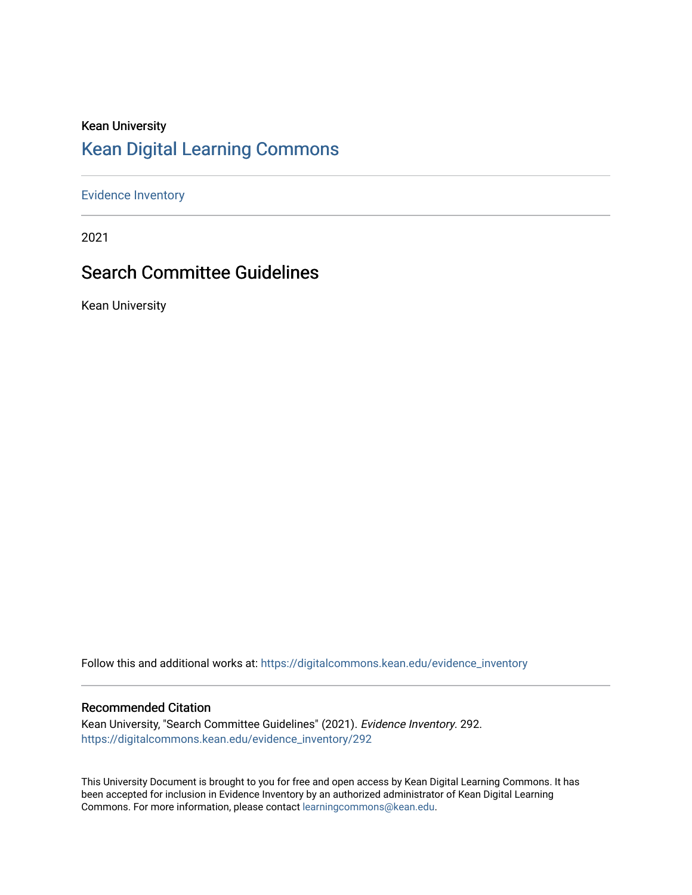# Kean University [Kean Digital Learning Commons](https://digitalcommons.kean.edu/)

[Evidence Inventory](https://digitalcommons.kean.edu/evidence_inventory) 

2021

# Search Committee Guidelines

Kean University

Follow this and additional works at: [https://digitalcommons.kean.edu/evidence\\_inventory](https://digitalcommons.kean.edu/evidence_inventory?utm_source=digitalcommons.kean.edu%2Fevidence_inventory%2F292&utm_medium=PDF&utm_campaign=PDFCoverPages)

#### Recommended Citation

Kean University, "Search Committee Guidelines" (2021). Evidence Inventory. 292. [https://digitalcommons.kean.edu/evidence\\_inventory/292](https://digitalcommons.kean.edu/evidence_inventory/292?utm_source=digitalcommons.kean.edu%2Fevidence_inventory%2F292&utm_medium=PDF&utm_campaign=PDFCoverPages)

This University Document is brought to you for free and open access by Kean Digital Learning Commons. It has been accepted for inclusion in Evidence Inventory by an authorized administrator of Kean Digital Learning Commons. For more information, please contact [learningcommons@kean.edu.](mailto:learningcommons@kean.edu)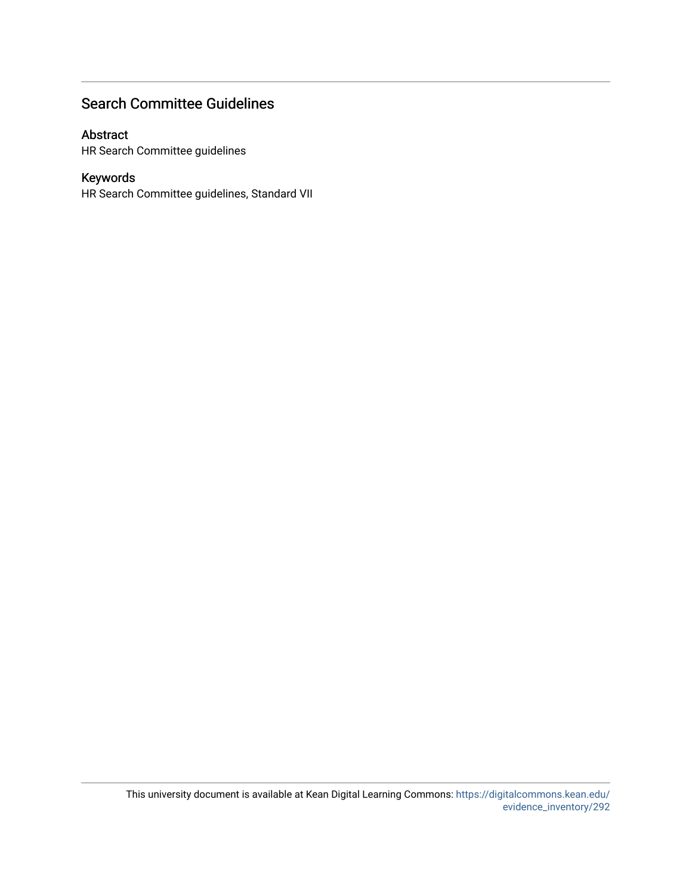# Search Committee Guidelines

#### Abstract

HR Search Committee guidelines

# Keywords

HR Search Committee guidelines, Standard VII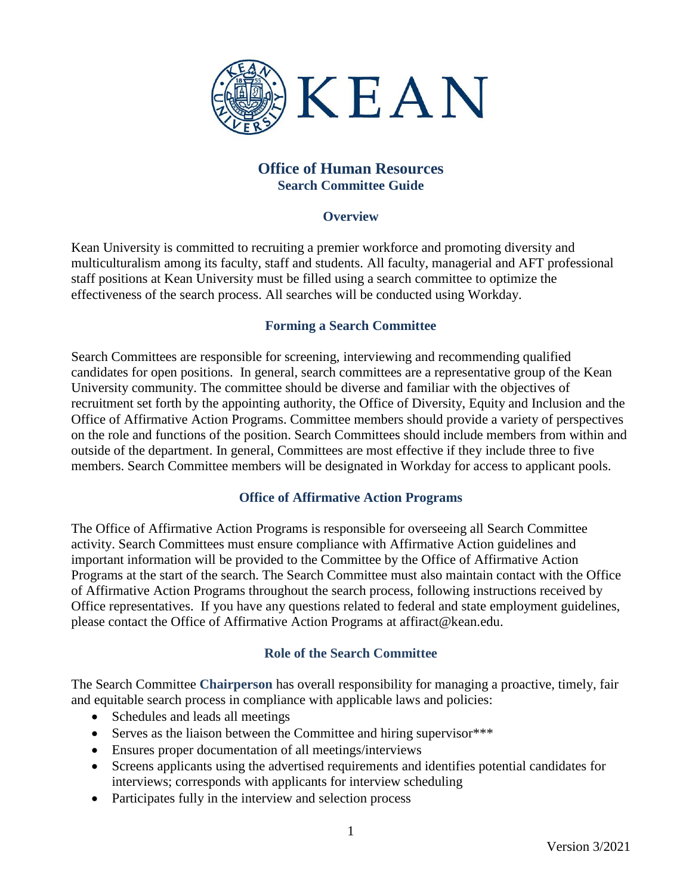

# **Office of Human Resources Search Committee Guide**

### **Overview**

Kean University is committed to recruiting a premier workforce and promoting diversity and multiculturalism among its faculty, staff and students. All faculty, managerial and AFT professional staff positions at Kean University must be filled using a search committee to optimize the effectiveness of the search process. All searches will be conducted using Workday.

# **Forming a Search Committee**

Search Committees are responsible for screening, interviewing and recommending qualified candidates for open positions. In general, search committees are a representative group of the Kean University community. The committee should be diverse and familiar with the objectives of recruitment set forth by the appointing authority, the Office of Diversity, Equity and Inclusion and the Office of Affirmative Action Programs. Committee members should provide a variety of perspectives on the role and functions of the position. Search Committees should include members from within and outside of the department. In general, Committees are most effective if they include three to five members. Search Committee members will be designated in Workday for access to applicant pools.

# **Office of Affirmative Action Programs**

The Office of Affirmative Action Programs is responsible for overseeing all Search Committee activity. Search Committees must ensure compliance with Affirmative Action guidelines and important information will be provided to the Committee by the Office of Affirmative Action Programs at the start of the search. The Search Committee must also maintain contact with the Office of Affirmative Action Programs throughout the search process, following instructions received by Office representatives. If you have any questions related to federal and state employment guidelines, please contact the Office of Affirmative Action Programs at affiract@kean.edu.

# **Role of the Search Committee**

The Search Committee **Chairperson** has overall responsibility for managing a proactive, timely, fair and equitable search process in compliance with applicable laws and policies:

- Schedules and leads all meetings
- Serves as the liaison between the Committee and hiring supervisor\*\*\*
- Ensures proper documentation of all meetings/interviews
- Screens applicants using the advertised requirements and identifies potential candidates for interviews; corresponds with applicants for interview scheduling
- Participates fully in the interview and selection process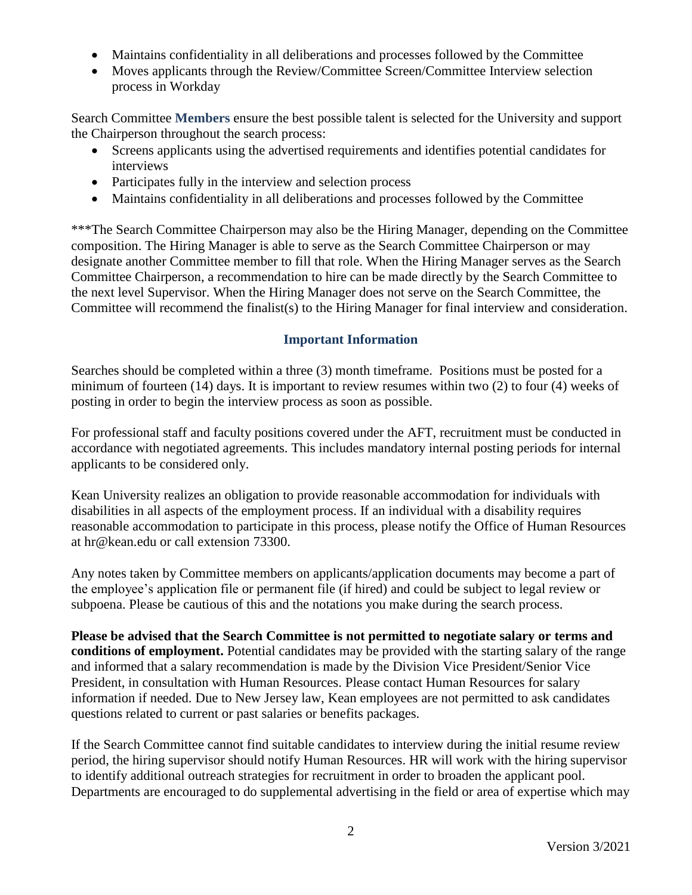- Maintains confidentiality in all deliberations and processes followed by the Committee
- Moves applicants through the Review/Committee Screen/Committee Interview selection process in Workday

Search Committee **Members** ensure the best possible talent is selected for the University and support the Chairperson throughout the search process:

- Screens applicants using the advertised requirements and identifies potential candidates for interviews
- Participates fully in the interview and selection process
- Maintains confidentiality in all deliberations and processes followed by the Committee

\*\*\*The Search Committee Chairperson may also be the Hiring Manager, depending on the Committee composition. The Hiring Manager is able to serve as the Search Committee Chairperson or may designate another Committee member to fill that role. When the Hiring Manager serves as the Search Committee Chairperson, a recommendation to hire can be made directly by the Search Committee to the next level Supervisor. When the Hiring Manager does not serve on the Search Committee, the Committee will recommend the finalist(s) to the Hiring Manager for final interview and consideration.

# **Important Information**

Searches should be completed within a three (3) month timeframe. Positions must be posted for a minimum of fourteen (14) days. It is important to review resumes within two (2) to four (4) weeks of posting in order to begin the interview process as soon as possible.

For professional staff and faculty positions covered under the AFT, recruitment must be conducted in accordance with negotiated agreements. This includes mandatory internal posting periods for internal applicants to be considered only.

Kean University realizes an obligation to provide reasonable accommodation for individuals with disabilities in all aspects of the employment process. If an individual with a disability requires reasonable accommodation to participate in this process, please notify the Office of Human Resources at [hr@kean.edu](mailto:hr@kean.edu) or call extension 73300.

Any notes taken by Committee members on applicants/application documents may become a part of the employee's application file or permanent file (if hired) and could be subject to legal review or subpoena. Please be cautious of this and the notations you make during the search process.

**Please be advised that the Search Committee is not permitted to negotiate salary or terms and conditions of employment.** Potential candidates may be provided with the starting salary of the range and informed that a salary recommendation is made by the Division Vice President/Senior Vice President, in consultation with Human Resources. Please contact Human Resources for salary information if needed. Due to New Jersey law, Kean employees are not permitted to ask candidates questions related to current or past salaries or benefits packages.

If the Search Committee cannot find suitable candidates to interview during the initial resume review period, the hiring supervisor should notify Human Resources. HR will work with the hiring supervisor to identify additional outreach strategies for recruitment in order to broaden the applicant pool. Departments are encouraged to do supplemental advertising in the field or area of expertise which may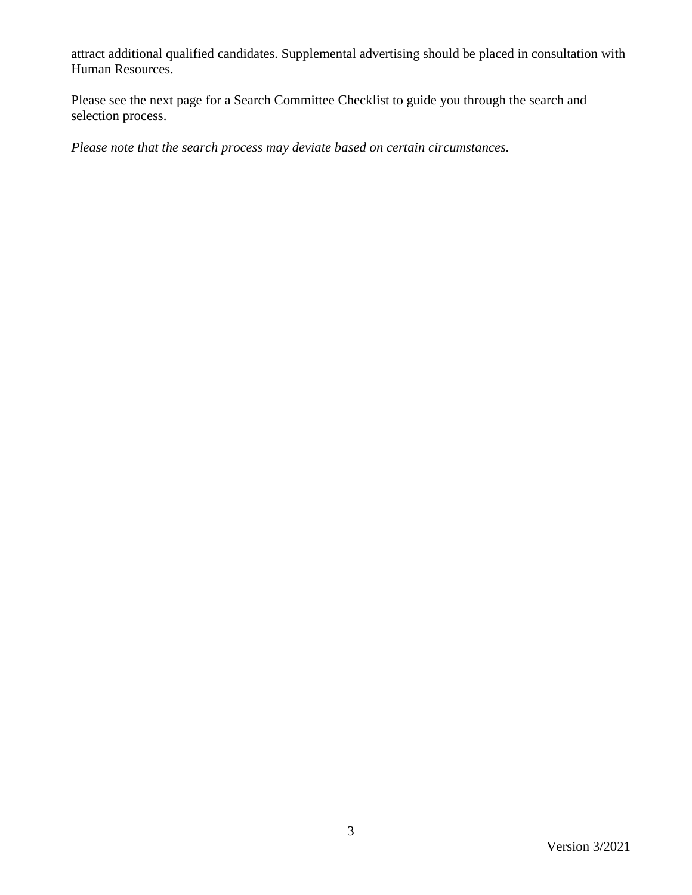attract additional qualified candidates. Supplemental advertising should be placed in consultation with Human Resources.

Please see the next page for a Search Committee Checklist to guide you through the search and selection process.

*Please note that the search process may deviate based on certain circumstances.*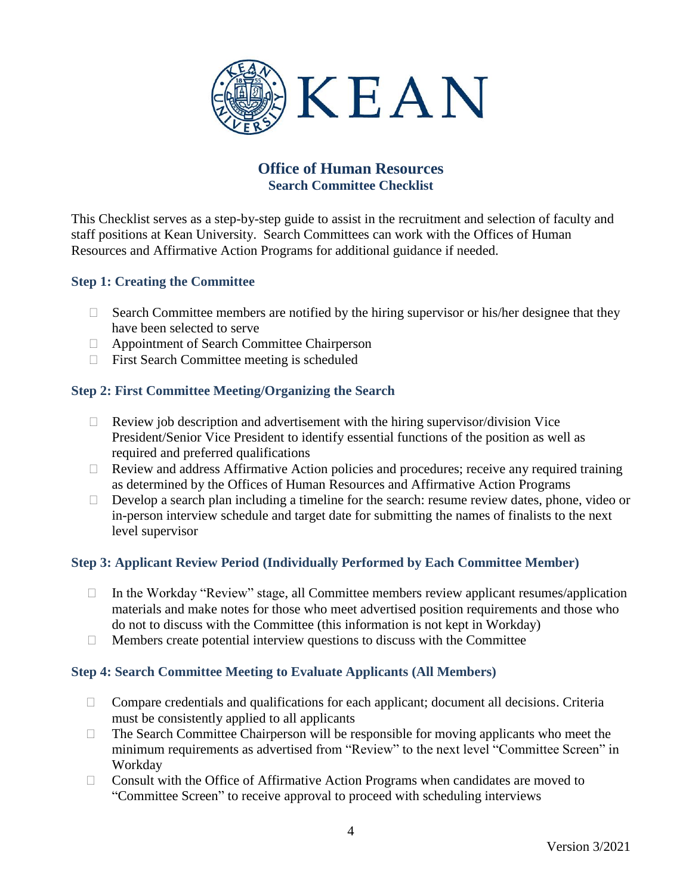

# **Office of Human Resources Search Committee Checklist**

This Checklist serves as a step-by-step guide to assist in the recruitment and selection of faculty and staff positions at Kean University. Search Committees can work with the Offices of Human Resources and Affirmative Action Programs for additional guidance if needed.

# **Step 1: Creating the Committee**

- $\Box$  Search Committee members are notified by the hiring supervisor or his/her designee that they have been selected to serve
- Appointment of Search Committee Chairperson
- $\Box$  First Search Committee meeting is scheduled

# **Step 2: First Committee Meeting/Organizing the Search**

- $\Box$  Review job description and advertisement with the hiring supervisor/division Vice President/Senior Vice President to identify essential functions of the position as well as required and preferred qualifications
- $\Box$  Review and address Affirmative Action policies and procedures; receive any required training as determined by the Offices of Human Resources and Affirmative Action Programs
- $\Box$  Develop a search plan including a timeline for the search: resume review dates, phone, video or in-person interview schedule and target date for submitting the names of finalists to the next level supervisor

# **Step 3: Applicant Review Period (Individually Performed by Each Committee Member)**

- $\Box$  In the Workday "Review" stage, all Committee members review applicant resumes/application materials and make notes for those who meet advertised position requirements and those who do not to discuss with the Committee (this information is not kept in Workday)
- $\Box$  Members create potential interview questions to discuss with the Committee

# **Step 4: Search Committee Meeting to Evaluate Applicants (All Members)**

- $\Box$  Compare credentials and qualifications for each applicant; document all decisions. Criteria must be consistently applied to all applicants
- $\Box$  The Search Committee Chairperson will be responsible for moving applicants who meet the minimum requirements as advertised from "Review" to the next level "Committee Screen" in Workday
- $\Box$  Consult with the Office of Affirmative Action Programs when candidates are moved to "Committee Screen" to receive approval to proceed with scheduling interviews